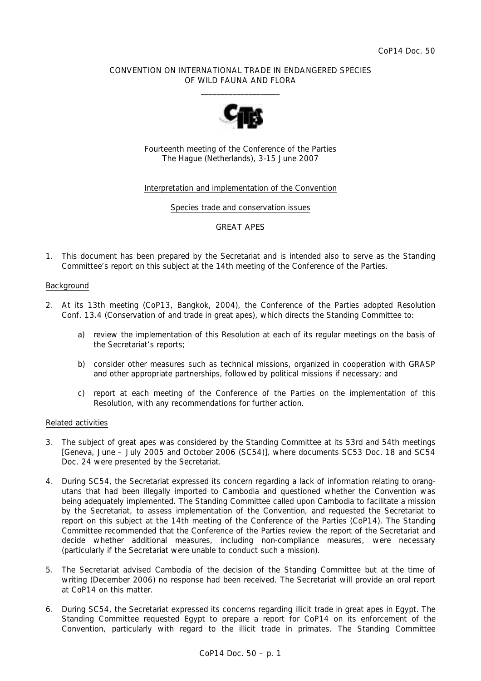# CONVENTION ON INTERNATIONAL TRADE IN ENDANGERED SPECIES OF WILD FAUNA AND FLORA  $\overline{\phantom{a}}$  , and the set of the set of the set of the set of the set of the set of the set of the set of the set of the set of the set of the set of the set of the set of the set of the set of the set of the set of the s



Fourteenth meeting of the Conference of the Parties The Hague (Netherlands), 3-15 June 2007

# Interpretation and implementation of the Convention

#### Species trade and conservation issues

## GREAT APES

1. This document has been prepared by the Secretariat and is intended also to serve as the Standing Committee's report on this subject at the 14th meeting of the Conference of the Parties.

#### Background

- 2. At its 13th meeting (CoP13, Bangkok, 2004), the Conference of the Parties adopted Resolution Conf. 13.4 (Conservation of and trade in great apes), which directs the Standing Committee to:
	- *a) review the implementation of this Resolution at each of its regular meetings on the basis of the Secretariat's reports;*
	- *b) consider other measures such as technical missions, organized in cooperation with GRASP and other appropriate partnerships, followed by political missions if necessary; and*
	- *c) report at each meeting of the Conference of the Parties on the implementation of this Resolution, with any recommendations for further action*.

## Related activities

- 3. The subject of great apes was considered by the Standing Committee at its 53rd and 54th meetings [Geneva, June – July 2005 and October 2006 (SC54)], where documents SC53 Doc. 18 and SC54 Doc. 24 were presented by the Secretariat.
- 4. During SC54, the Secretariat expressed its concern regarding a lack of information relating to orangutans that had been illegally imported to Cambodia and questioned whether the Convention was being adequately implemented. The Standing Committee called upon Cambodia to facilitate a mission by the Secretariat, to assess implementation of the Convention, and requested the Secretariat to report on this subject at the 14th meeting of the Conference of the Parties (CoP14). The Standing Committee recommended that the Conference of the Parties review the report of the Secretariat and decide whether additional measures, including non-compliance measures, were necessary (particularly if the Secretariat were unable to conduct such a mission).
- 5. The Secretariat advised Cambodia of the decision of the Standing Committee but at the time of writing (December 2006) no response had been received. The Secretariat will provide an oral report at CoP14 on this matter.
- 6. During SC54, the Secretariat expressed its concerns regarding illicit trade in great apes in Egypt. The Standing Committee requested Egypt to prepare a report for CoP14 on its enforcement of the Convention, particularly with regard to the illicit trade in primates. The Standing Committee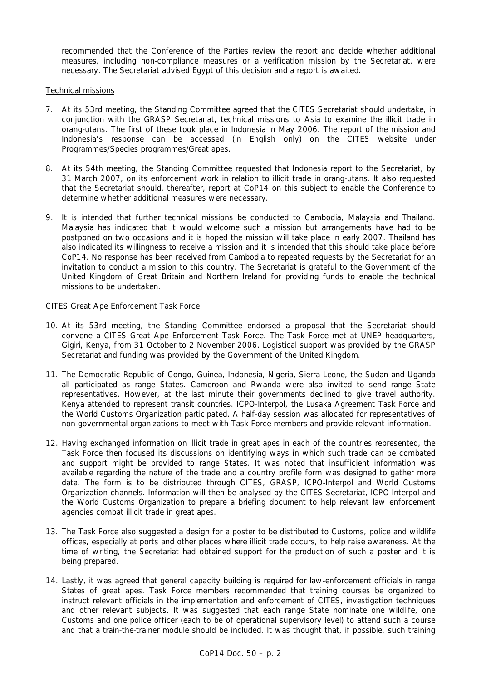recommended that the Conference of the Parties review the report and decide whether additional measures, including non-compliance measures or a verification mission by the Secretariat, were necessary. The Secretariat advised Egypt of this decision and a report is awaited.

Technical missions

- 7. At its 53rd meeting, the Standing Committee agreed that the CITES Secretariat should undertake, in conjunction with the GRASP Secretariat, technical missions to Asia to examine the illicit trade in orang-utans. The first of these took place in Indonesia in May 2006. The report of the mission and Indonesia's response can be accessed (in English only) on the CITES website under Programmes/Species programmes/Great apes.
- 8. At its 54th meeting, the Standing Committee requested that Indonesia report to the Secretariat, by 31 March 2007, on its enforcement work in relation to illicit trade in orang-utans. It also requested that the Secretariat should, thereafter, report at CoP14 on this subject to enable the Conference to determine whether additional measures were necessary.
- 9. It is intended that further technical missions be conducted to Cambodia, Malaysia and Thailand. Malaysia has indicated that it would welcome such a mission but arrangements have had to be postponed on two occasions and it is hoped the mission will take place in early 2007. Thailand has also indicated its willingness to receive a mission and it is intended that this should take place before CoP14. No response has been received from Cambodia to repeated requests by the Secretariat for an invitation to conduct a mission to this country. The Secretariat is grateful to the Government of the United Kingdom of Great Britain and Northern Ireland for providing funds to enable the technical missions to be undertaken.

# CITES Great Ape Enforcement Task Force

- 10. At its 53rd meeting, the Standing Committee endorsed a proposal that the Secretariat should convene a CITES Great Ape Enforcement Task Force. The Task Force met at UNEP headquarters, Gigiri, Kenya, from 31 October to 2 November 2006. Logistical support was provided by the GRASP Secretariat and funding was provided by the Government of the United Kingdom.
- 11. The Democratic Republic of Congo, Guinea, Indonesia, Nigeria, Sierra Leone, the Sudan and Uganda all participated as range States. Cameroon and Rwanda were also invited to send range State representatives. However, at the last minute their governments declined to give travel authority. Kenya attended to represent transit countries. ICPO-Interpol, the Lusaka Agreement Task Force and the World Customs Organization participated. A half-day session was allocated for representatives of non-governmental organizations to meet with Task Force members and provide relevant information.
- 12. Having exchanged information on illicit trade in great apes in each of the countries represented, the Task Force then focused its discussions on identifying ways in which such trade can be combated and support might be provided to range States. It was noted that insufficient information was available regarding the nature of the trade and a country profile form was designed to gather more data. The form is to be distributed through CITES, GRASP, ICPO-Interpol and World Customs Organization channels. Information will then be analysed by the CITES Secretariat, ICPO-Interpol and the World Customs Organization to prepare a briefing document to help relevant law enforcement agencies combat illicit trade in great apes.
- 13. The Task Force also suggested a design for a poster to be distributed to Customs, police and wildlife offices, especially at ports and other places where illicit trade occurs, to help raise awareness. At the time of writing, the Secretariat had obtained support for the production of such a poster and it is being prepared.
- 14. Lastly, it was agreed that general capacity building is required for law-enforcement officials in range States of great apes. Task Force members recommended that training courses be organized to instruct relevant officials in the implementation and enforcement of CITES, investigation techniques and other relevant subjects. It was suggested that each range State nominate one wildlife, one Customs and one police officer (each to be of operational supervisory level) to attend such a course and that a train-the-trainer module should be included. It was thought that, if possible, such training